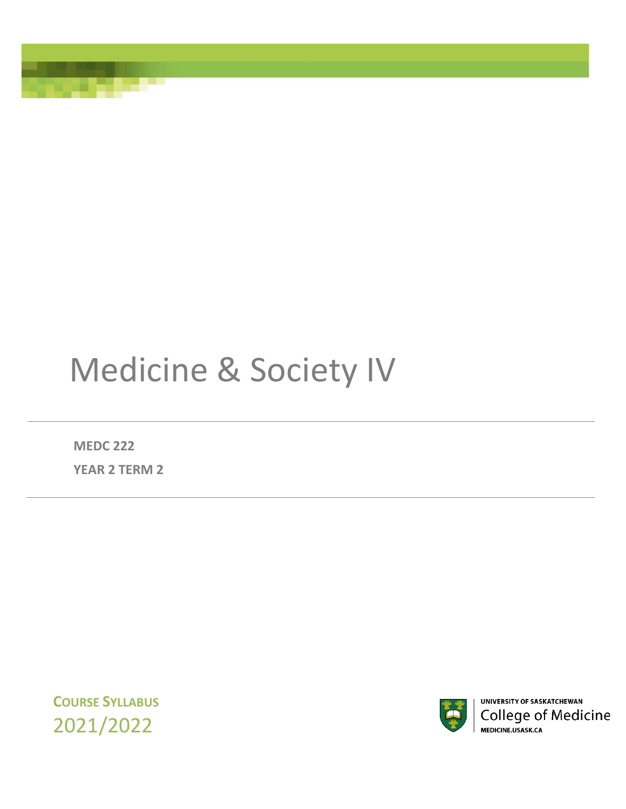# Medicine & Society IV

**MEDC 222**

**YEAR 2 TERM 2**

**COURSE SYLLABUS** 2021/2022

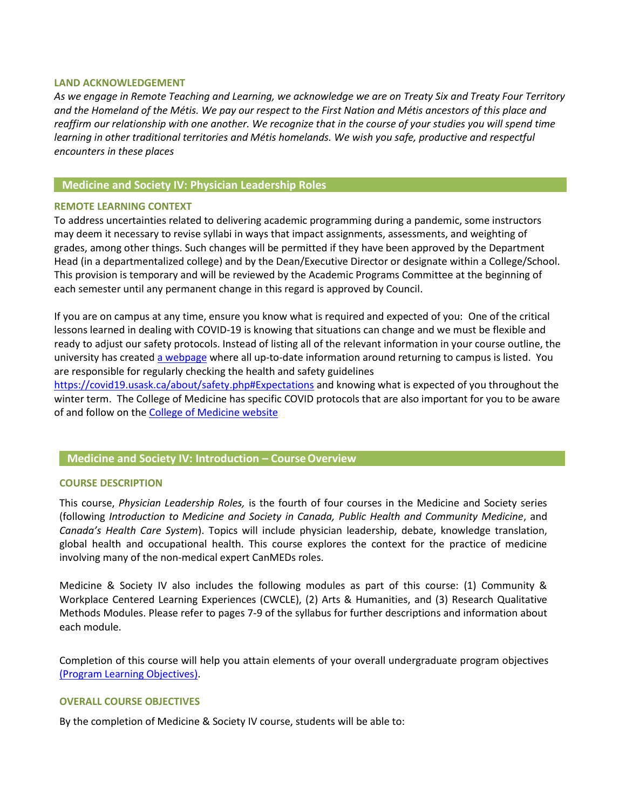#### **LAND ACKNOWLEDGEMENT**

*As we engage in Remote Teaching and Learning, we acknowledge we are on Treaty Six and Treaty Four Territory and the Homeland of the Métis. We pay our respect to the First Nation and Métis ancestors of this place and*  reaffirm our relationship with one another. We recognize that in the course of your studies you will spend time *learning in other traditional territories and Métis homelands. We wish you safe, productive and respectful encounters in these places*

## **Medicine and Society IV: Physician Leadership Roles**

#### **REMOTE LEARNING CONTEXT**

To address uncertainties related to delivering academic programming during a pandemic, some instructors may deem it necessary to revise syllabi in ways that impact assignments, assessments, and weighting of grades, among other things. Such changes will be permitted if they have been approved by the Department Head (in a departmentalized college) and by the Dean/Executive Director or designate within a College/School. This provision is temporary and will be reviewed by the Academic Programs Committee at the beginning of each semester until any permanent change in this regard is approved by Council.

If you are on campus at any time, ensure you know what is required and expected of you: One of the critical lessons learned in dealing with COVID-19 is knowing that situations can change and we must be flexible and ready to adjust our safety protocols. Instead of listing all of the relevant information in your course outline, the university has created [a webpage](https://covid19.usask.ca/students.php#Oncampusessentials) where all up-to-date information around returning to campus is listed. You are responsible for regularly checking the health and safety guidelines

<https://covid19.usask.ca/about/safety.php#Expectations> and knowing what is expected of you throughout the winter term. The College of Medicine has specific COVID protocols that are also important for you to be aware of and follow on the [College of Medicine website](https://medicine.usask.ca/students/covid19.php)

## **Medicine and Society IV: Introduction – CourseOverview**

#### **COURSE DESCRIPTION**

This course, *Physician Leadership Roles,* is the fourth of four courses in the Medicine and Society series (following *Introduction to Medicine and Society in Canada, Public Health and Community Medicine*, and *Canada's Health Care System*). Topics will include physician leadership, debate, knowledge translation, global health and occupational health. This course explores the context for the practice of medicine involving many of the non-medical expert CanMEDs roles.

Medicine & Society IV also includes the following modules as part of this course: (1) Community & Workplace Centered Learning Experiences (CWCLE), (2) Arts & Humanities, and (3) Research Qualitative Methods Modules. Please refer to pages 7-9 of the syllabus for further descriptions and information about each module.

Completion of this course will help you attain elements of your overall undergraduate program objectives [\(Program Learning Objectives\)](https://medicine.usask.ca/students/undergraduate/curriculum-schedules-objectives.php).

#### **OVERALL COURSE OBJECTIVES**

By the completion of Medicine & Society IV course, students will be able to: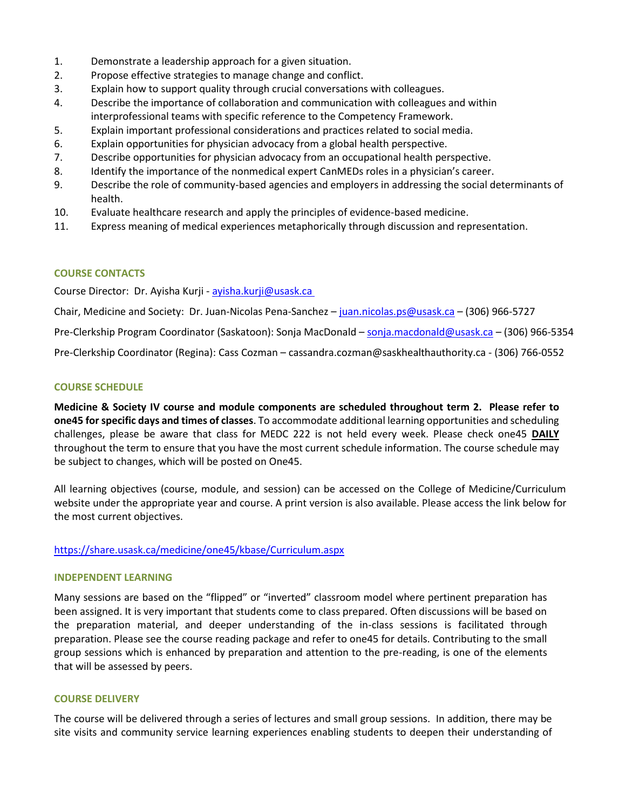- 1. Demonstrate a leadership approach for a given situation.
- 2. Propose effective strategies to manage change and conflict.
- 3. Explain how to support quality through crucial conversations with colleagues.
- 4. Describe the importance of collaboration and communication with colleagues and within interprofessional teams with specific reference to the Competency Framework.
- 5. Explain important professional considerations and practices related to social media.
- 6. Explain opportunities for physician advocacy from a global health perspective.
- 7. Describe opportunities for physician advocacy from an occupational health perspective.
- 8. Identify the importance of the nonmedical expert CanMEDs roles in a physician's career.
- 9. Describe the role of community-based agencies and employers in addressing the social determinants of health.
- 10. Evaluate healthcare research and apply the principles of evidence-based medicine.
- 11. Express meaning of medical experiences metaphorically through discussion and representation.

## **COURSE CONTACTS**

Course Director: Dr. Ayisha Kurji - [ayisha.kurji@usask.ca](mailto:ayisha.kurji@usask.ca)

Chair, Medicine and Society: Dr. Juan-Nicolas Pena-Sanchez – [juan.nicolas.ps@usask.ca](mailto:juan.nicolas.ps@usask.ca) – (306) 966-5727

Pre-Clerkship Program Coordinator (Saskatoon): Sonja MacDonald – [sonja.macdonald@usask.ca](mailto:sonja.macdonald@usask.ca) – (306) 966-5354

Pre-Clerkship Coordinator (Regina): Cass Cozman – cassandra.cozman@saskhealthauthority.ca - (306) 766-0552

#### **COURSE SCHEDULE**

**Medicine & Society IV course and module components are scheduled throughout term 2. Please refer to one45 for specific days and times of classes**. To accommodate additional learning opportunities and scheduling challenges, please be aware that class for MEDC 222 is not held every week. Please check one45 **DAILY**  throughout the term to ensure that you have the most current schedule information. The course schedule may be subject to changes, which will be posted on One45.

All learning objectives (course, module, and session) can be accessed on the College of Medicine/Curriculum website under the appropriate year and course. A print version is also available. Please access the link below for the most current objectives.

#### <https://share.usask.ca/medicine/one45/kbase/Curriculum.aspx>

#### **INDEPENDENT LEARNING**

Many sessions are based on the "flipped" or "inverted" classroom model where pertinent preparation has been assigned. It is very important that students come to class prepared. Often discussions will be based on the preparation material, and deeper understanding of the in-class sessions is facilitated through preparation. Please see the course reading package and refer to one45 for details. Contributing to the small group sessions which is enhanced by preparation and attention to the pre-reading, is one of the elements that will be assessed by peers.

#### **COURSE DELIVERY**

The course will be delivered through a series of lectures and small group sessions. In addition, there may be site visits and community service learning experiences enabling students to deepen their understanding of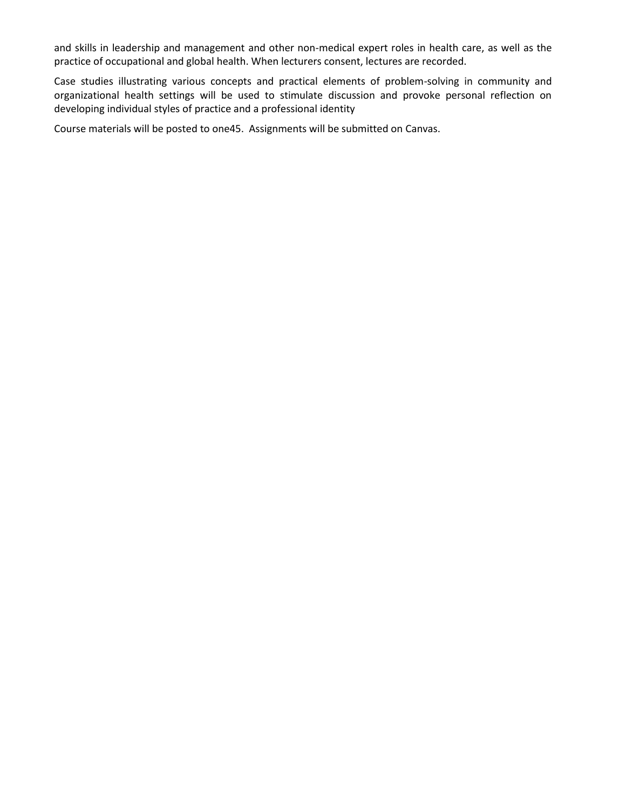and skills in leadership and management and other non-medical expert roles in health care, as well as the practice of occupational and global health. When lecturers consent, lectures are recorded.

Case studies illustrating various concepts and practical elements of problem-solving in community and organizational health settings will be used to stimulate discussion and provoke personal reflection on developing individual styles of practice and a professional identity

Course materials will be posted to one45. Assignments will be submitted on Canvas.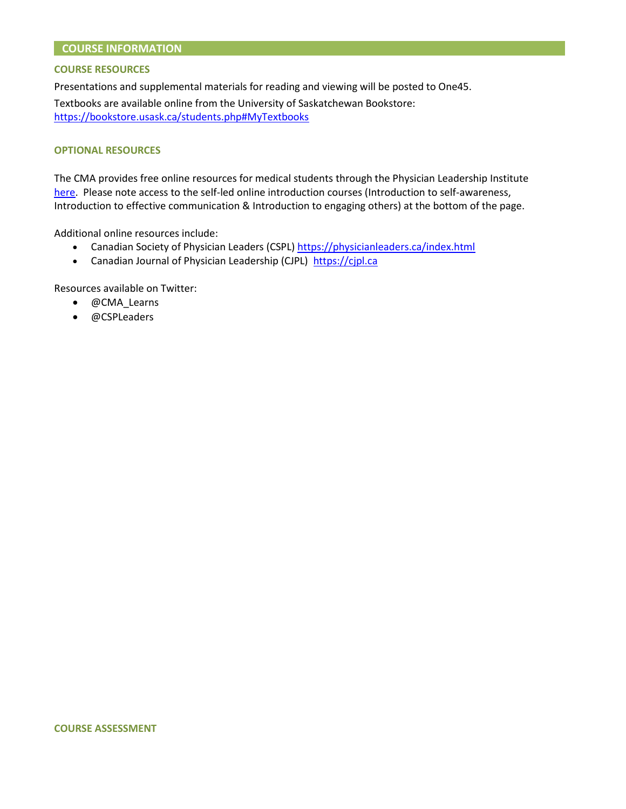## **COURSE INFORMATION**

#### **COURSE RESOURCES**

Presentations and supplemental materials for reading and viewing will be posted to One45.

Textbooks are available online from the University of Saskatchewan Bookstore: <https://bookstore.usask.ca/students.php#MyTextbooks>

#### **OPTIONAL RESOURCES**

The CMA provides free online resources for medical students through the Physician Leadership Institute [here.](https://www.cma.ca/physician-wellness-hub/resources/leadership-professional-development/leadership-development-courses-for-medical-students-and-residents) Please note access to the self-led online introduction courses (Introduction to self-awareness, Introduction to effective communication & Introduction to engaging others) at the bottom of the page.

Additional online resources include:

- Canadian Society of Physician Leaders (CSPL)<https://physicianleaders.ca/index.html>
- Canadian Journal of Physician Leadership (CJPL) [https://cjpl.ca](https://cjpl.ca/)

Resources available on Twitter:

- @CMA\_Learns
- @CSPLeaders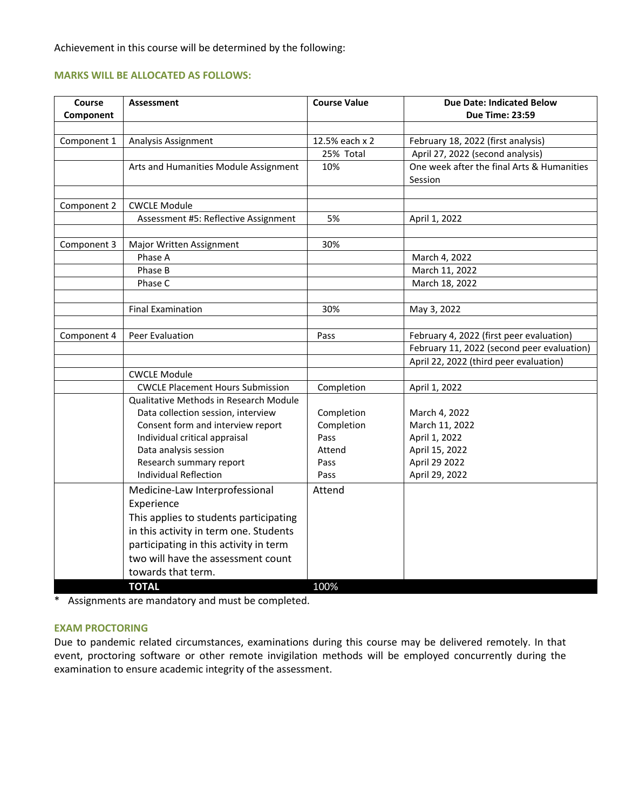Achievement in this course will be determined by the following:

## **MARKS WILL BE ALLOCATED AS FOLLOWS:**

| Course<br>Component | <b>Assessment</b>                       | <b>Course Value</b> | <b>Due Date: Indicated Below</b><br><b>Due Time: 23:59</b> |
|---------------------|-----------------------------------------|---------------------|------------------------------------------------------------|
|                     |                                         |                     |                                                            |
| Component 1         | Analysis Assignment                     | 12.5% each x 2      | February 18, 2022 (first analysis)                         |
|                     |                                         | 25% Total           | April 27, 2022 (second analysis)                           |
|                     | Arts and Humanities Module Assignment   | 10%                 | One week after the final Arts & Humanities<br>Session      |
|                     |                                         |                     |                                                            |
| Component 2         | <b>CWCLE Module</b>                     |                     |                                                            |
|                     | Assessment #5: Reflective Assignment    | 5%                  | April 1, 2022                                              |
|                     |                                         |                     |                                                            |
| Component 3         | Major Written Assignment                | 30%                 |                                                            |
|                     | Phase A                                 |                     | March 4, 2022                                              |
|                     | Phase B                                 |                     | March 11, 2022                                             |
|                     | Phase C                                 |                     | March 18, 2022                                             |
|                     |                                         |                     |                                                            |
|                     | <b>Final Examination</b>                | 30%                 | May 3, 2022                                                |
|                     |                                         |                     |                                                            |
| Component 4         | Peer Evaluation                         | Pass                | February 4, 2022 (first peer evaluation)                   |
|                     |                                         |                     | February 11, 2022 (second peer evaluation)                 |
|                     |                                         |                     | April 22, 2022 (third peer evaluation)                     |
|                     | <b>CWCLE Module</b>                     |                     |                                                            |
|                     | <b>CWCLE Placement Hours Submission</b> | Completion          | April 1, 2022                                              |
|                     | Qualitative Methods in Research Module  |                     |                                                            |
|                     | Data collection session, interview      | Completion          | March 4, 2022                                              |
|                     | Consent form and interview report       | Completion          | March 11, 2022                                             |
|                     | Individual critical appraisal           | Pass                | April 1, 2022                                              |
|                     | Data analysis session                   | Attend              | April 15, 2022                                             |
|                     | Research summary report                 | Pass                | April 29 2022                                              |
|                     | <b>Individual Reflection</b>            | Pass                | April 29, 2022                                             |
|                     | Medicine-Law Interprofessional          | Attend              |                                                            |
|                     | Experience                              |                     |                                                            |
|                     | This applies to students participating  |                     |                                                            |
|                     | in this activity in term one. Students  |                     |                                                            |
|                     | participating in this activity in term  |                     |                                                            |
|                     | two will have the assessment count      |                     |                                                            |
|                     | towards that term.                      |                     |                                                            |
|                     | <b>TOTAL</b>                            | 100%                |                                                            |

\* Assignments are mandatory and must be completed.

## **EXAM PROCTORING**

Due to pandemic related circumstances, examinations during this course may be delivered remotely. In that event, proctoring software or other remote invigilation methods will be employed concurrently during the examination to ensure academic integrity of the assessment.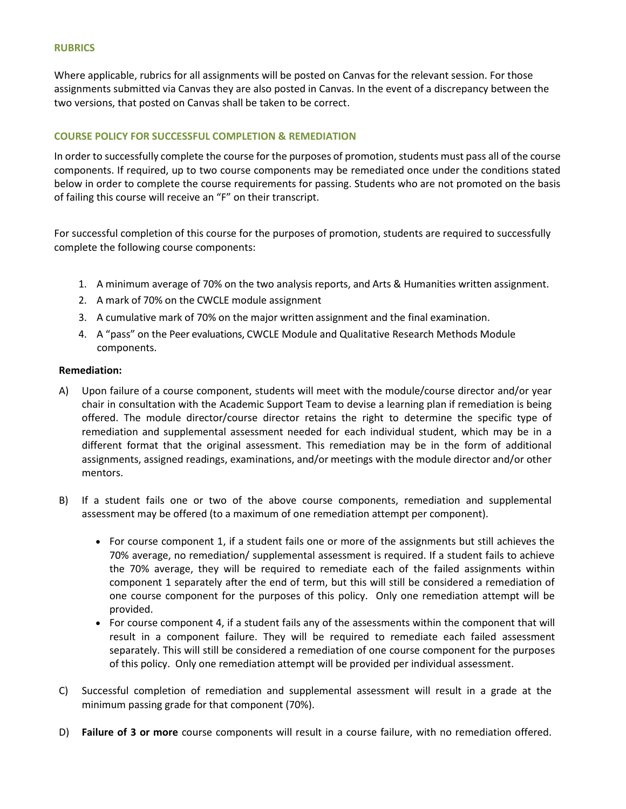#### **RUBRICS**

Where applicable, rubrics for all assignments will be posted on Canvas for the relevant session. For those assignments submitted via Canvas they are also posted in Canvas. In the event of a discrepancy between the two versions, that posted on Canvas shall be taken to be correct.

## **COURSE POLICY FOR SUCCESSFUL COMPLETION & REMEDIATION**

In order to successfully complete the course for the purposes of promotion, students must pass all of the course components. If required, up to two course components may be remediated once under the conditions stated below in order to complete the course requirements for passing. Students who are not promoted on the basis of failing this course will receive an "F" on their transcript.

For successful completion of this course for the purposes of promotion, students are required to successfully complete the following course components:

- 1. A minimum average of 70% on the two analysis reports, and Arts & Humanities written assignment.
- 2. A mark of 70% on the CWCLE module assignment
- 3. A cumulative mark of 70% on the major written assignment and the final examination.
- 4. A "pass" on the Peer evaluations, CWCLE Module and Qualitative Research Methods Module components.

## **Remediation:**

- A) Upon failure of a course component, students will meet with the module/course director and/or year chair in consultation with the Academic Support Team to devise a learning plan if remediation is being offered. The module director/course director retains the right to determine the specific type of remediation and supplemental assessment needed for each individual student, which may be in a different format that the original assessment. This remediation may be in the form of additional assignments, assigned readings, examinations, and/or meetings with the module director and/or other mentors.
- B) If a student fails one or two of the above course components, remediation and supplemental assessment may be offered (to a maximum of one remediation attempt per component).
	- For course component 1, if a student fails one or more of the assignments but still achieves the 70% average, no remediation/ supplemental assessment is required. If a student fails to achieve the 70% average, they will be required to remediate each of the failed assignments within component 1 separately after the end of term, but this will still be considered a remediation of one course component for the purposes of this policy. Only one remediation attempt will be provided.
	- For course component 4, if a student fails any of the assessments within the component that will result in a component failure. They will be required to remediate each failed assessment separately. This will still be considered a remediation of one course component for the purposes of this policy. Only one remediation attempt will be provided per individual assessment.
- C) Successful completion of remediation and supplemental assessment will result in a grade at the minimum passing grade for that component (70%).
- D) **Failure of 3 or more** course components will result in a course failure, with no remediation offered.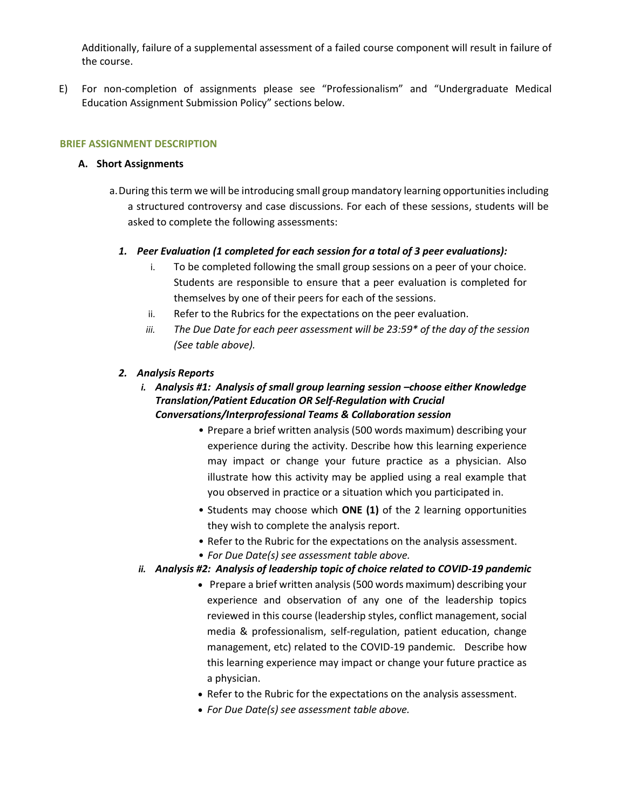Additionally, failure of a supplemental assessment of a failed course component will result in failure of the course.

E) For non-completion of assignments please see "Professionalism" and "Undergraduate Medical Education Assignment Submission Policy" sections below.

## **BRIEF ASSIGNMENT DESCRIPTION**

## **A. Short Assignments**

- a.During this term we will be introducing small group mandatory learning opportunities including a structured controversy and case discussions. For each of these sessions, students will be asked to complete the following assessments:
	- *1. Peer Evaluation (1 completed for each session for a total of 3 peer evaluations):*
		- i. To be completed following the small group sessions on a peer of your choice. Students are responsible to ensure that a peer evaluation is completed for themselves by one of their peers for each of the sessions.
		- ii. Refer to the Rubrics for the expectations on the peer evaluation.
		- *iii. The Due Date for each peer assessment will be 23:59\* of the day of the session (See table above).*

## *2. Analysis Reports*

# *i.* Analysis #1: Analysis of small group learning session -choose either Knowledge *Translation/Patient Education OR Self-Regulation with Crucial Conversations/Interprofessional Teams & Collaboration session*

- Prepare a brief written analysis (500 words maximum) describing your experience during the activity. Describe how this learning experience may impact or change your future practice as a physician. Also illustrate how this activity may be applied using a real example that you observed in practice or a situation which you participated in.
- Students may choose which **ONE (1)** of the 2 learning opportunities they wish to complete the analysis report.
- Refer to the Rubric for the expectations on the analysis assessment.
- *For Due Date(s) see assessment table above.*

# *ii. Analysis #2: Analysis of leadership topic of choice related to COVID-19 pandemic*

- Prepare a brief written analysis (500 words maximum) describing your experience and observation of any one of the leadership topics reviewed in this course (leadership styles, conflict management, social media & professionalism, self-regulation, patient education, change management, etc) related to the COVID-19 pandemic. Describe how this learning experience may impact or change your future practice as a physician.
- Refer to the Rubric for the expectations on the analysis assessment.
- *For Due Date(s) see assessment table above.*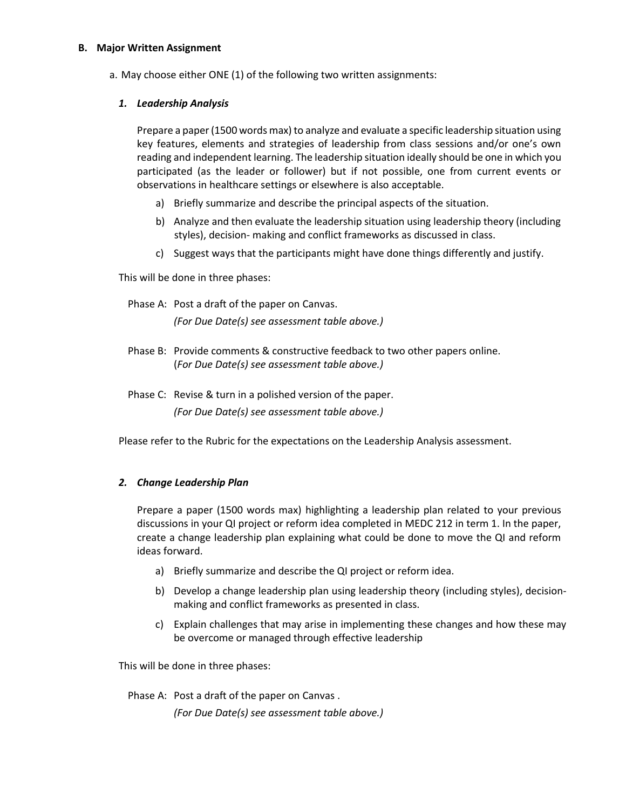## **B. Major Written Assignment**

a. May choose either ONE (1) of the following two written assignments:

## *1. Leadership Analysis*

Prepare a paper (1500 words max) to analyze and evaluate a specific leadership situation using key features, elements and strategies of leadership from class sessions and/or one's own reading and independent learning. The leadership situation ideally should be one in which you participated (as the leader or follower) but if not possible, one from current events or observations in healthcare settings or elsewhere is also acceptable.

- a) Briefly summarize and describe the principal aspects of the situation.
- b) Analyze and then evaluate the leadership situation using leadership theory (including styles), decision- making and conflict frameworks as discussed in class.
- c) Suggest ways that the participants might have done things differently and justify.

This will be done in three phases:

Phase A: Post a draft of the paper on Canvas. *(For Due Date(s) see assessment table above.)*

- Phase B: Provide comments & constructive feedback to two other papers online. (*For Due Date(s) see assessment table above.)*
- Phase C: Revise & turn in a polished version of the paper. *(For Due Date(s) see assessment table above.)*

Please refer to the Rubric for the expectations on the Leadership Analysis assessment.

## *2. Change Leadership Plan*

Prepare a paper (1500 words max) highlighting a leadership plan related to your previous discussions in your QI project or reform idea completed in MEDC 212 in term 1. In the paper, create a change leadership plan explaining what could be done to move the QI and reform ideas forward.

- a) Briefly summarize and describe the QI project or reform idea.
- b) Develop a change leadership plan using leadership theory (including styles), decisionmaking and conflict frameworks as presented in class.
- c) Explain challenges that may arise in implementing these changes and how these may be overcome or managed through effective leadership

This will be done in three phases:

Phase A: Post a draft of the paper on Canvas .

*(For Due Date(s) see assessment table above.)*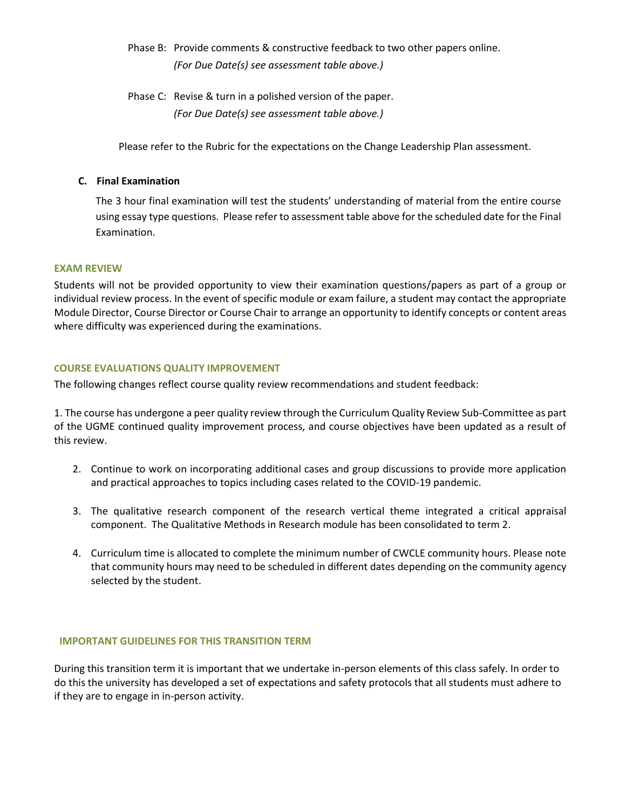- Phase B: Provide comments & constructive feedback to two other papers online. *(For Due Date(s) see assessment table above.)*
- Phase C: Revise & turn in a polished version of the paper. *(For Due Date(s) see assessment table above.)*

Please refer to the Rubric for the expectations on the Change Leadership Plan assessment.

## **C. Final Examination**

The 3 hour final examination will test the students' understanding of material from the entire course using essay type questions. Please refer to assessment table above for the scheduled date for the Final Examination.

## **EXAM REVIEW**

Students will not be provided opportunity to view their examination questions/papers as part of a group or individual review process. In the event of specific module or exam failure, a student may contact the appropriate Module Director, Course Director or Course Chair to arrange an opportunity to identify concepts or content areas where difficulty was experienced during the examinations.

## **COURSE EVALUATIONS QUALITY IMPROVEMENT**

The following changes reflect course quality review recommendations and student feedback:

1. The course has undergone a peer quality review through the Curriculum Quality Review Sub-Committee as part of the UGME continued quality improvement process, and course objectives have been updated as a result of this review.

- 2. Continue to work on incorporating additional cases and group discussions to provide more application and practical approaches to topics including cases related to the COVID-19 pandemic.
- 3. The qualitative research component of the research vertical theme integrated a critical appraisal component. The Qualitative Methods in Research module has been consolidated to term 2.
- 4. Curriculum time is allocated to complete the minimum number of CWCLE community hours. Please note that community hours may need to be scheduled in different dates depending on the community agency selected by the student.

## **IMPORTANT GUIDELINES FOR THIS TRANSITION TERM**

During this transition term it is important that we undertake in-person elements of this class safely. In order to do this the university has developed a set of expectations and safety protocols that all students must adhere to if they are to engage in in-person activity.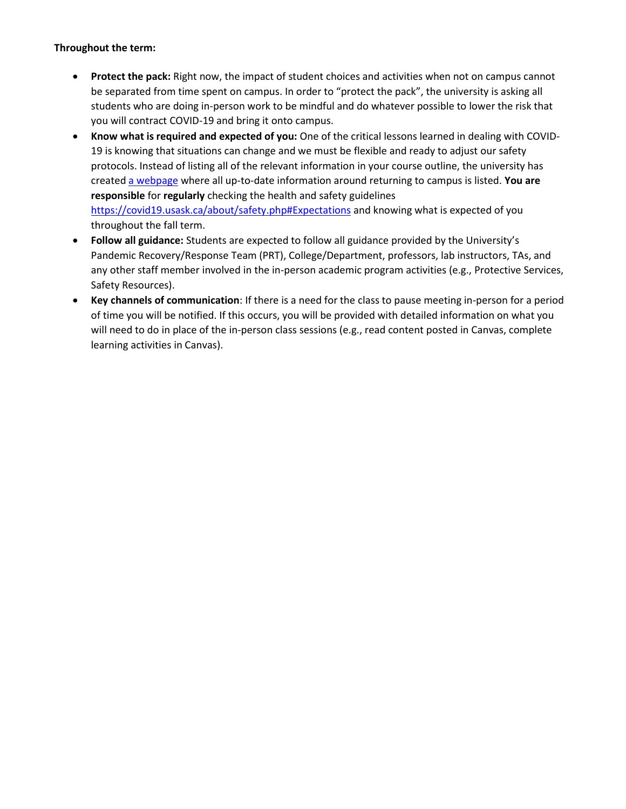# **Throughout the term:**

- **Protect the pack:** Right now, the impact of student choices and activities when not on campus cannot be separated from time spent on campus. In order to "protect the pack", the university is asking all students who are doing in-person work to be mindful and do whatever possible to lower the risk that you will contract COVID-19 and bring it onto campus.
- **Know what is required and expected of you:** One of the critical lessons learned in dealing with COVID-19 is knowing that situations can change and we must be flexible and ready to adjust our safety protocols. Instead of listing all of the relevant information in your course outline, the university has create[d a webpage](https://covid19.usask.ca/students.php) where all up-to-date information around returning to campus is listed. **You are responsible** for **regularly** checking the health and safety guidelines [https://covid19.usask.ca/about/safety.php#Expectations](https://covid19.usask.ca/about/safety.php) and knowing what is expected of you throughout the fall term.
- **Follow all guidance:** Students are expected to follow all guidance provided by the University's Pandemic Recovery/Response Team (PRT), College/Department, professors, lab instructors, TAs, and any other staff member involved in the in-person academic program activities (e.g., Protective Services, Safety Resources).
- **Key channels of communication**: If there is a need for the class to pause meeting in-person for a period of time you will be notified. If this occurs, you will be provided with detailed information on what you will need to do in place of the in-person class sessions (e.g., read content posted in Canvas, complete learning activities in Canvas).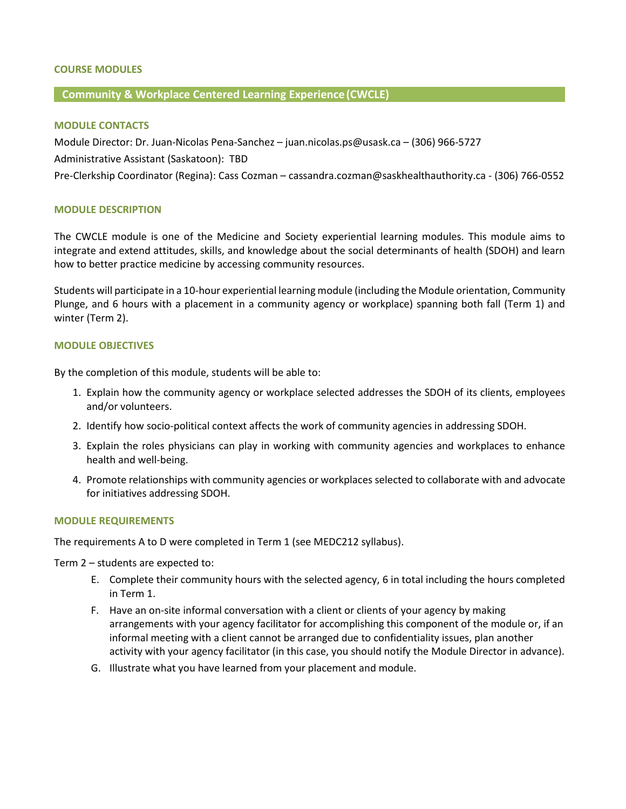## **COURSE MODULES**

## **Community & Workplace Centered Learning Experience(CWCLE)**

#### **MODULE CONTACTS**

Module Director: Dr. Juan-Nicolas Pena-Sanchez – juan.nicolas.ps@usask.ca – (306) 966-5727

Administrative Assistant (Saskatoon): TBD

Pre-Clerkship Coordinator (Regina): Cass Cozman – cassandra.cozman@saskhealthauthority.ca - (306) 766-0552

#### **MODULE DESCRIPTION**

The CWCLE module is one of the Medicine and Society experiential learning modules. This module aims to integrate and extend attitudes, skills, and knowledge about the social determinants of health (SDOH) and learn how to better practice medicine by accessing community resources.

Students will participate in a 10-hour experiential learning module (including the Module orientation, Community Plunge, and 6 hours with a placement in a community agency or workplace) spanning both fall (Term 1) and winter (Term 2).

#### **MODULE OBJECTIVES**

By the completion of this module, students will be able to:

- 1. Explain how the community agency or workplace selected addresses the SDOH of its clients, employees and/or volunteers.
- 2. Identify how socio-political context affects the work of community agencies in addressing SDOH.
- 3. Explain the roles physicians can play in working with community agencies and workplaces to enhance health and well-being.
- 4. Promote relationships with community agencies or workplaces selected to collaborate with and advocate for initiatives addressing SDOH.

#### **MODULE REQUIREMENTS**

The requirements A to D were completed in Term 1 (see MEDC212 syllabus).

Term 2 – students are expected to:

- E. Complete their community hours with the selected agency, 6 in total including the hours completed in Term 1.
- F. Have an on-site informal conversation with a client or clients of your agency by making arrangements with your agency facilitator for accomplishing this component of the module or, if an informal meeting with a client cannot be arranged due to confidentiality issues, plan another activity with your agency facilitator (in this case, you should notify the Module Director in advance).
- G. Illustrate what you have learned from your placement and module.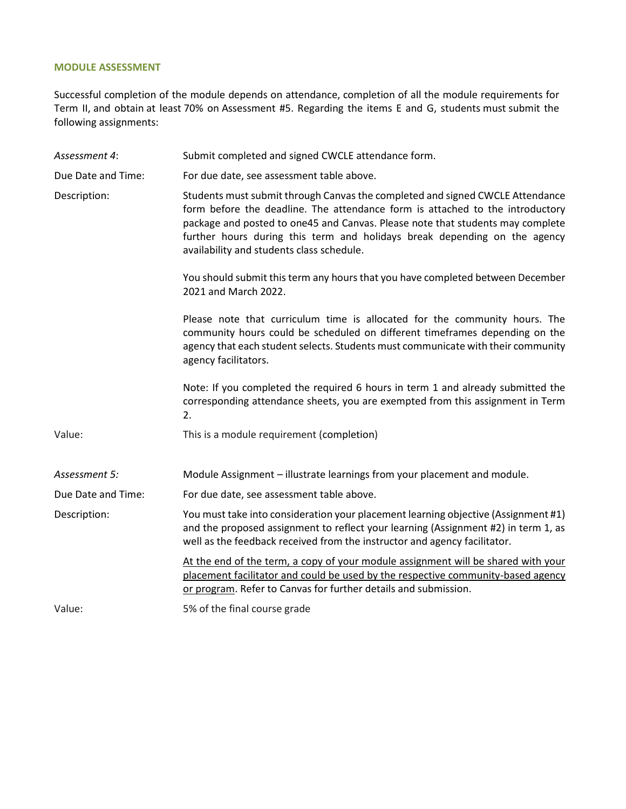#### **MODULE ASSESSMENT**

Successful completion of the module depends on attendance, completion of all the module requirements for Term II, and obtain at least 70% on Assessment #5. Regarding the items E and G, students must submit the following assignments:

*Assessment 4*: Submit completed and signed CWCLE attendance form. Due Date and Time: For due date, see assessment table above. Description: Students must submit through Canvas the completed and signed CWCLE Attendance form before the deadline. The attendance form is attached to the introductory package and posted to one45 and Canvas. Please note that students may complete further hours during this term and holidays break depending on the agency availability and students class schedule. You should submit this term any hours that you have completed between December 2021 and March 2022. Please note that curriculum time is allocated for the community hours. The community hours could be scheduled on different timeframes depending on the agency that each student selects. Students must communicate with their community agency facilitators. Note: If you completed the required 6 hours in term 1 and already submitted the corresponding attendance sheets, you are exempted from this assignment in Term 2. Value: This is a module requirement (completion) *Assessment 5:* Module Assignment – illustrate learnings from your placement and module. Due Date and Time: For due date, see assessment table above. Description: You must take into consideration your placement learning objective (Assignment #1) and the proposed assignment to reflect your learning (Assignment #2) in term 1, as well as the feedback received from the instructor and agency facilitator. At the end of the term, a copy of your module assignment will be shared with your placement facilitator and could be used by the respective community-based agency or program. Refer to Canvas for further details and submission. Value: 5% of the final course grade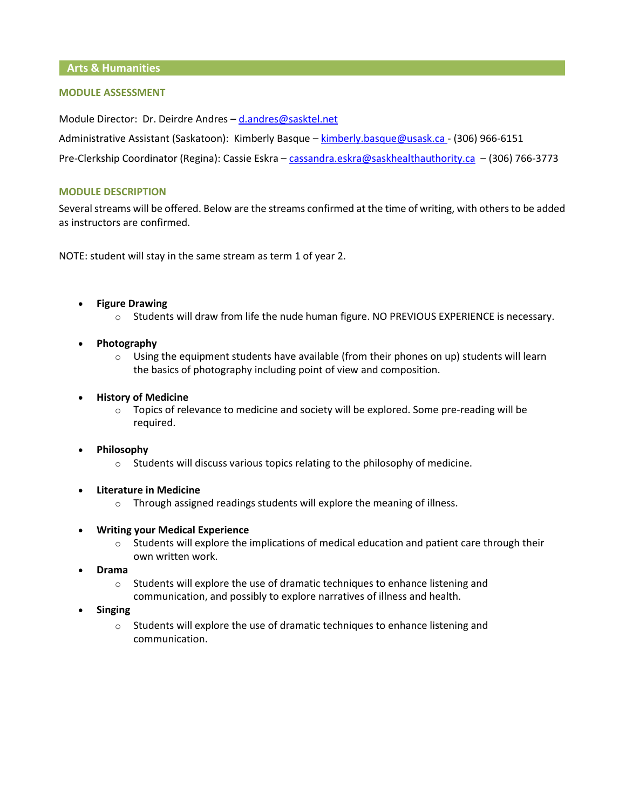**Arts & Humanities**

## **MODULE ASSESSMENT**

Module Director: Dr. Deirdre Andres – [d.andres@sasktel.net](mailto:d.andres@sasktel.net)

Administrative Assistant (Saskatoon): Kimberly Basque – [kimberly.basque@usask.ca -](mailto:kimberly.basque@usask.ca) (306) 966-6151

Pre-Clerkship Coordinator (Regina): Cassie Eskra – [cassandra.eskra@saskhealthauthority.ca](mailto:cassandra.eskra@saskhealthauthority.ca) – (306) 766-3773

#### **MODULE DESCRIPTION**

Several streams will be offered. Below are the streams confirmed at the time of writing, with others to be added as instructors are confirmed.

NOTE: student will stay in the same stream as term 1 of year 2.

- **Figure Drawing**
	- o Students will draw from life the nude human figure. NO PREVIOUS EXPERIENCE is necessary.
- **Photography**
	- $\circ$  Using the equipment students have available (from their phones on up) students will learn the basics of photography including point of view and composition.

#### • **History of Medicine**

- $\circ$  Topics of relevance to medicine and society will be explored. Some pre-reading will be required.
- **Philosophy**
	- $\circ$  Students will discuss various topics relating to the philosophy of medicine.
- **Literature in Medicine**
	- o Through assigned readings students will explore the meaning of illness.
- **Writing your Medical Experience**
	- $\circ$  Students will explore the implications of medical education and patient care through their own written work.
- **Drama**
	- o Students will explore the use of dramatic techniques to enhance listening and communication, and possibly to explore narratives of illness and health.
- **Singing**
	- $\circ$  Students will explore the use of dramatic techniques to enhance listening and communication.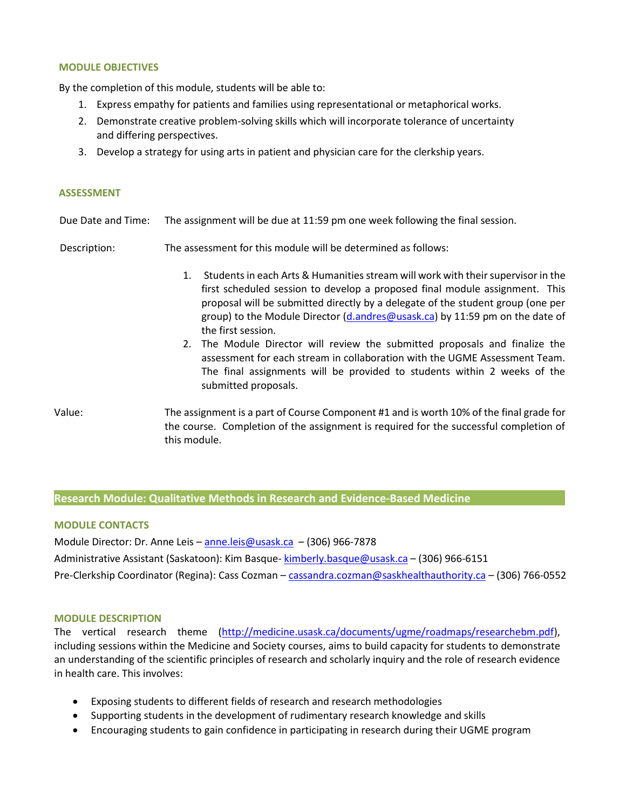#### **MODULE OBJECTIVES**

By the completion of this module, students will be able to:

- 1. Express empathy for patients and families using representational or metaphorical works.
- 2. Demonstrate creative problem-solving skills which will incorporate tolerance of uncertainty and differing perspectives.
- 3. Develop a strategy for using arts in patient and physician care for the clerkship years.

#### **ASSESSMENT**

Due Date and Time: The assignment will be due at 11:59 pm one week following the final session.

Description: The assessment for this module will be determined as follows:

- 1. Students in each Arts & Humanities stream will work with their supervisor in the first scheduled session to develop a proposed final module assignment. This proposal will be submitted directly by a delegate of the student group (one per group) to the Module Director [\(d.andres@usask.ca\)](mailto:d.andres@usask.ca) by 11:59 pm on the date of the first session.
- 2. The Module Director will review the submitted proposals and finalize the assessment for each stream in collaboration with the UGME Assessment Team. The final assignments will be provided to students within 2 weeks of the submitted proposals.
- Value: The assignment is a part of Course Component #1 and is worth 10% of the final grade for the course. Completion of the assignment is required for the successful completion of this module.

#### **Research Module: Qualitative Methods in Research and Evidence-Based Medicine**

#### **MODULE CONTACTS**

Module Director: Dr. Anne Leis – [anne.leis@usask.ca](mailto:anne.leis@usask.ca) – (306) 966-7878 Administrative Assistant (Saskatoon): Kim Basque- kimberly.basque@usask.ca - (306) 966-6151 Pre-Clerkship Coordinator (Regina): Cass Cozman – [cassandra.cozman@saskhealthauthority.ca](mailto:cassandra.cozman@saskhealthauthority.ca) – (306) 766-0552

#### **MODULE DESCRIPTION**

The vertical research theme [\(http://medicine.usask.ca/documents/ugme/roadmaps/researchebm.pdf\)](http://medicine.usask.ca/documents/ugme/roadmaps/researchebm.pdf), including sessions within the Medicine and Society courses, aims to build capacity for students to demonstrate an understanding of the scientific principles of research and scholarly inquiry and the role of research evidence in health care. This involves:

- Exposing students to different fields of research and research methodologies
- Supporting students in the development of rudimentary research knowledge and skills
- Encouraging students to gain confidence in participating in research during their UGME program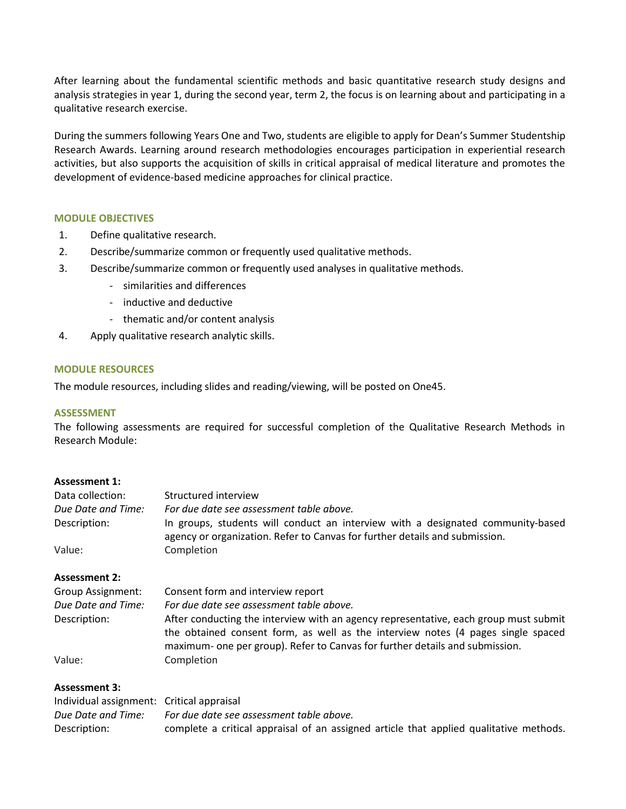After learning about the fundamental scientific methods and basic quantitative research study designs and analysis strategies in year 1, during the second year, term 2, the focus is on learning about and participating in a qualitative research exercise.

During the summers following Years One and Two, students are eligible to apply for Dean's Summer Studentship Research Awards. Learning around research methodologies encourages participation in experiential research activities, but also supports the acquisition of skills in critical appraisal of medical literature and promotes the development of evidence-based medicine approaches for clinical practice.

## **MODULE OBJECTIVES**

- 1. Define qualitative research.
- 2. Describe/summarize common or frequently used qualitative methods.
- 3. Describe/summarize common or frequently used analyses in qualitative methods.
	- similarities and differences
	- inductive and deductive
	- thematic and/or content analysis
- 4. Apply qualitative research analytic skills.

#### **MODULE RESOURCES**

The module resources, including slides and reading/viewing, will be posted on One45.

#### **ASSESSMENT**

The following assessments are required for successful completion of the Qualitative Research Methods in Research Module:

#### **Assessment 1:**

| Data collection:         | Structured interview                                                                                                                                                                                                                                     |
|--------------------------|----------------------------------------------------------------------------------------------------------------------------------------------------------------------------------------------------------------------------------------------------------|
| Due Date and Time:       | For due date see assessment table above.                                                                                                                                                                                                                 |
| Description:             | In groups, students will conduct an interview with a designated community-based<br>agency or organization. Refer to Canvas for further details and submission.                                                                                           |
| Value:                   | Completion                                                                                                                                                                                                                                               |
| <b>Assessment 2:</b>     |                                                                                                                                                                                                                                                          |
| <b>Group Assignment:</b> | Consent form and interview report                                                                                                                                                                                                                        |
| Due Date and Time:       | For due date see assessment table above.                                                                                                                                                                                                                 |
| Description:             | After conducting the interview with an agency representative, each group must submit<br>the obtained consent form, as well as the interview notes (4 pages single spaced<br>maximum- one per group). Refer to Canvas for further details and submission. |
| Value:                   | Completion                                                                                                                                                                                                                                               |

#### **Assessment 3:**

| Individual assignment: Critical appraisal |                                                                                        |
|-------------------------------------------|----------------------------------------------------------------------------------------|
| Due Date and Time:                        | For due date see assessment table above.                                               |
| Description:                              | complete a critical appraisal of an assigned article that applied qualitative methods. |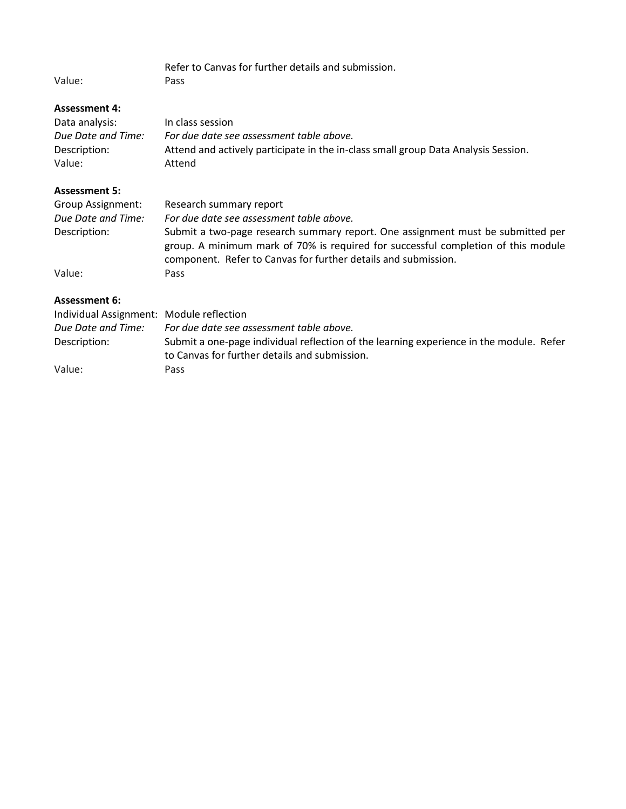Refer to Canvas for further details and submission. Value:

# **Assessment 4:**

| Data analysis:     | In class session                                                                   |
|--------------------|------------------------------------------------------------------------------------|
| Due Date and Time: | For due date see assessment table above.                                           |
| Description:       | Attend and actively participate in the in-class small group Data Analysis Session. |
| Value:             | Attend                                                                             |
|                    |                                                                                    |

## **Assessment 5:**

| Group Assignment:  | Research summary report                                                                                                                                                                                                                |
|--------------------|----------------------------------------------------------------------------------------------------------------------------------------------------------------------------------------------------------------------------------------|
| Due Date and Time: | For due date see assessment table above.                                                                                                                                                                                               |
| Description:       | Submit a two-page research summary report. One assignment must be submitted per<br>group. A minimum mark of 70% is required for successful completion of this module<br>component. Refer to Canvas for further details and submission. |
| Value:             | Pass                                                                                                                                                                                                                                   |

## **Assessment 6:**

| Individual Assignment: Module reflection |                                                                                                                                          |
|------------------------------------------|------------------------------------------------------------------------------------------------------------------------------------------|
| Due Date and Time:                       | For due date see assessment table above.                                                                                                 |
| Description:                             | Submit a one-page individual reflection of the learning experience in the module. Refer<br>to Canvas for further details and submission. |
| Value:                                   | Pass                                                                                                                                     |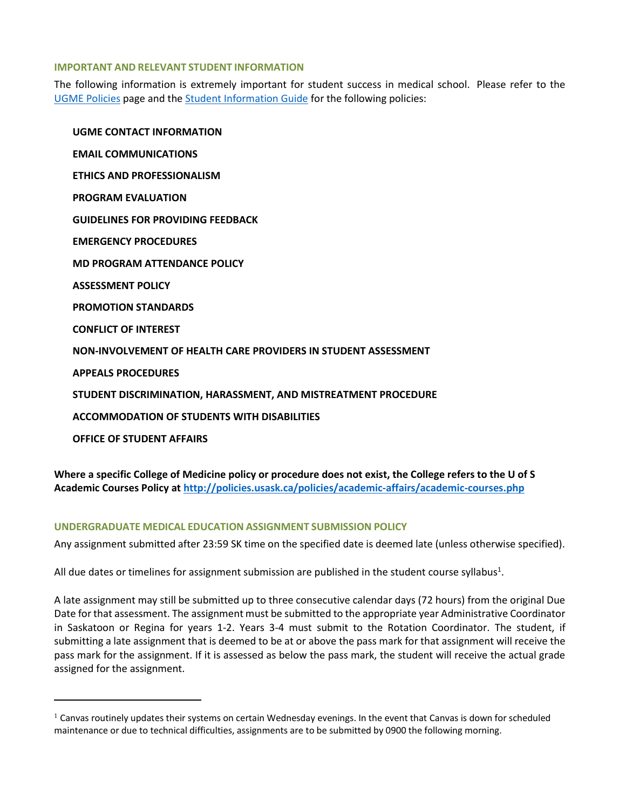#### **IMPORTANT AND RELEVANT STUDENT INFORMATION**

The following information is extremely important for student success in medical school. Please refer to the [UGME Policies](http://medicine.usask.ca/students/undergraduate/policies.php) page and the [Student Information Guide](https://medicine.usask.ca/students/undergraduate/curriculum-schedules-objectives.php) for the following policies:

**UGME CONTACT INFORMATION EMAIL COMMUNICATIONS ETHICS AND PROFESSIONALISM PROGRAM EVALUATION GUIDELINES FOR PROVIDING FEEDBACK\ EMERGENCY PROCEDURES MD PROGRAM ATTENDANCE POLICY ASSESSMENT POLICY PROMOTION STANDARDS CONFLICT OF INTEREST NON-INVOLVEMENT OF HEALTH CARE PROVIDERS IN STUDENT ASSESSMENT APPEALS PROCEDURES STUDENT DISCRIMINATION, HARASSMENT, AND MISTREATMENT PROCEDURE ACCOMMODATION OF STUDENTS WITH DISABILITIES OFFICE OF STUDENT AFFAIRS**

**Where a specific College of Medicine policy or procedure does not exist, the College refers to the U of S Academic Courses Policy at<http://policies.usask.ca/policies/academic-affairs/academic-courses.php>**

## **UNDERGRADUATE MEDICAL EDUCATION ASSIGNMENT SUBMISSION POLICY**

Any assignment submitted after 23:59 SK time on the specified date is deemed late (unless otherwise specified).

All due dates or timelines for assignment submission are published in the student course syllabus<sup>1</sup>.

A late assignment may still be submitted up to three consecutive calendar days (72 hours) from the original Due Date for that assessment. The assignment must be submitted to the appropriate year Administrative Coordinator in Saskatoon or Regina for years 1-2. Years 3-4 must submit to the Rotation Coordinator. The student, if submitting a late assignment that is deemed to be at or above the pass mark for that assignment will receive the pass mark for the assignment. If it is assessed as below the pass mark, the student will receive the actual grade assigned for the assignment.

 $1$  Canvas routinely updates their systems on certain Wednesday evenings. In the event that Canvas is down for scheduled maintenance or due to technical difficulties, assignments are to be submitted by 0900 the following morning.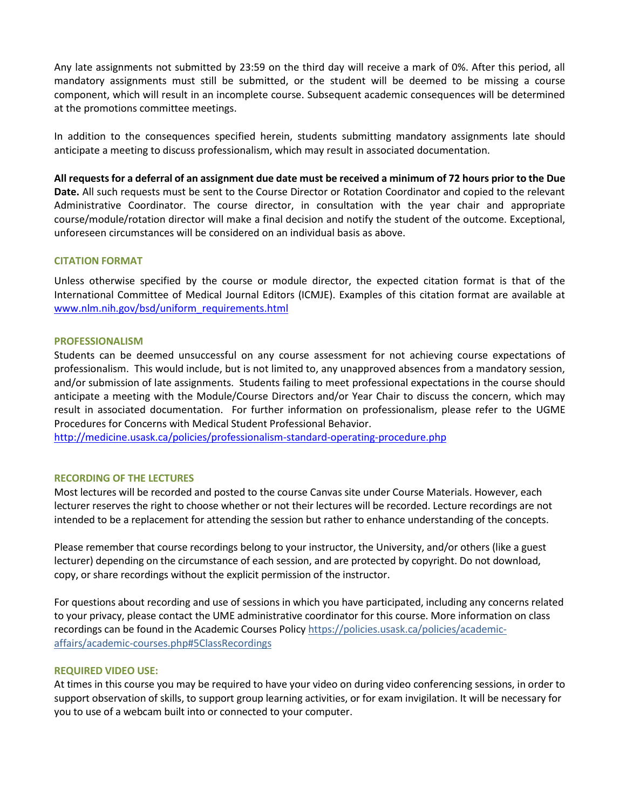Any late assignments not submitted by 23:59 on the third day will receive a mark of 0%. After this period, all mandatory assignments must still be submitted, or the student will be deemed to be missing a course component, which will result in an incomplete course. Subsequent academic consequences will be determined at the promotions committee meetings.

In addition to the consequences specified herein, students submitting mandatory assignments late should anticipate a meeting to discuss professionalism, which may result in associated documentation.

**All requests for a deferral of an assignment due date must be received a minimum of 72 hours prior to the Due Date.** All such requests must be sent to the Course Director or Rotation Coordinator and copied to the relevant Administrative Coordinator. The course director, in consultation with the year chair and appropriate course/module/rotation director will make a final decision and notify the student of the outcome. Exceptional, unforeseen circumstances will be considered on an individual basis as above.

## **CITATION FORMAT**

Unless otherwise specified by the course or module director, the expected citation format is that of the International Committee of Medical Journal Editors (ICMJE). Examples of this citation format are available at [www.nlm.nih.gov/bsd/uniform\\_requirements.html](http://www.nlm.nih.gov/bsd/uniform_requirements.html)

#### **PROFESSIONALISM**

Students can be deemed unsuccessful on any course assessment for not achieving course expectations of professionalism. This would include, but is not limited to, any unapproved absences from a mandatory session, and/or submission of late assignments. Students failing to meet professional expectations in the course should anticipate a meeting with the Module/Course Directors and/or Year Chair to discuss the concern, which may result in associated documentation. For further information on professionalism, please refer to the UGME Procedures for Concerns with Medical Student Professional Behavior.

<http://medicine.usask.ca/policies/professionalism-standard-operating-procedure.php>

#### **RECORDING OF THE LECTURES**

Most lectures will be recorded and posted to the course Canvas site under Course Materials. However, each lecturer reserves the right to choose whether or not their lectures will be recorded. Lecture recordings are not intended to be a replacement for attending the session but rather to enhance understanding of the concepts.

Please remember that course recordings belong to your instructor, the University, and/or others (like a guest lecturer) depending on the circumstance of each session, and are protected by copyright. Do not download, copy, or share recordings without the explicit permission of the instructor.

For questions about recording and use of sessions in which you have participated, including any concerns related to your privacy, please contact the UME administrative coordinator for this course. More information on class recordings can be found in the Academic Courses Policy [https://policies.usask.ca/policies/academic](https://policies.usask.ca/policies/academic-affairs/academic-courses.php#5ClassRecordings)[affairs/academic-courses.php#5ClassRecordings](https://policies.usask.ca/policies/academic-affairs/academic-courses.php#5ClassRecordings)

#### **REQUIRED VIDEO USE:**

At times in this course you may be required to have your video on during video conferencing sessions, in order to support observation of skills, to support group learning activities, or for exam invigilation. It will be necessary for you to use of a webcam built into or connected to your computer.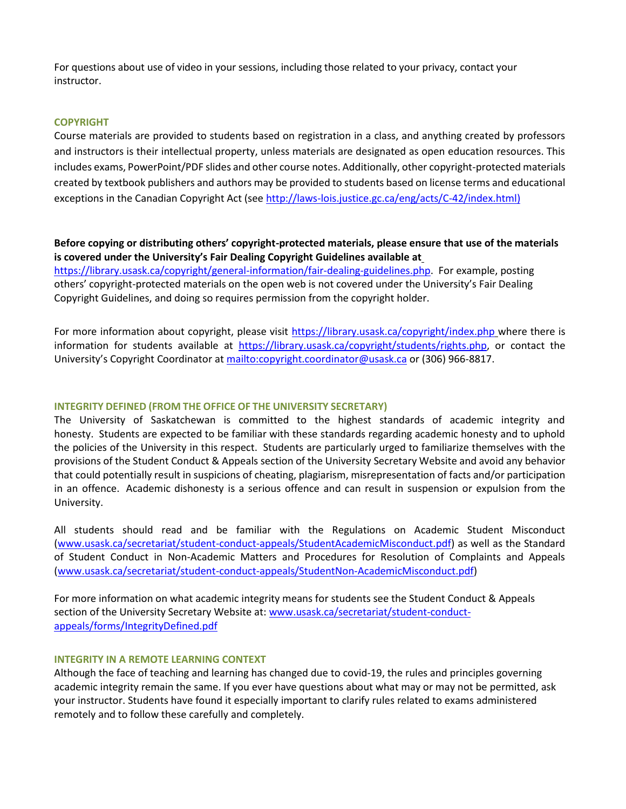For questions about use of video in your sessions, including those related to your privacy, contact your instructor.

#### **COPYRIGHT**

Course materials are provided to students based on registration in a class, and anything created by professors and instructors is their intellectual property, unless materials are designated as open education resources. This includes exams, PowerPoint/PDF slides and other course notes. Additionally, other copyright-protected materials created by textbook publishers and authors may be provided to students based on license terms and educational exceptions in the Canadian Copyright Act (see [http://laws-lois.justice.gc.ca/eng/acts/C-42/index.html\)](http://laws-lois.justice.gc.ca/eng/acts/C-42/index.html))

## **Before copying or distributing others' copyright-protected materials, please ensure that use of the materials is covered under the University's Fair Dealing Copyright Guidelines available at**

[https://library.usask.ca/copyright/general-information/fair-dealing-guidelines.php.](https://library.usask.ca/copyright/general-information/fair-dealing-guidelines.php)For example, posting others' copyright-protected materials on the open web is not covered under the University's Fair Dealing Copyright Guidelines, and doing so requires permission from the copyright holder.

For more information about copyright, please visit<https://library.usask.ca/copyright/index.php> where there is information for students available at [https://library.usask.ca/copyright/students/rights.php,](https://library.usask.ca/copyright/students/rights.php) or contact the University's Copyright Coordinator at <mailto:copyright.coordinator@usask.ca> or (306) 966-8817.

#### **INTEGRITY DEFINED (FROM THE OFFICE OF THE UNIVERSITY SECRETARY)**

The University of Saskatchewan is committed to the highest standards of academic integrity and honesty. Students are expected to be familiar with these standards regarding academic honesty and to uphold the policies of the University in this respect. Students are particularly urged to familiarize themselves with the provisions of the Student Conduct & Appeals section of the University Secretary Website and avoid any behavior that could potentially result in suspicions of cheating, plagiarism, misrepresentation of facts and/or participation in an offence. Academic dishonesty is a serious offence and can result in suspension or expulsion from the University.

All students should read and be familiar with the Regulations on Academic Student Misconduct [\(www.usask.ca/secretariat/student-conduct-appeals/StudentAcademicMisconduct.pdf\)](http://www.usask.ca/secretariat/student-conduct-appeals/StudentAcademicMisconduct.pdf) as well as the Standard of Student Conduct in Non-Academic Matters and Procedures for Resolution of Complaints and Appeals [\(www.usask.ca/secretariat/student-conduct-appeals/StudentNon-AcademicMisconduct.pdf\)](http://www.usask.ca/secretariat/student-conduct-appeals/StudentNon-AcademicMisconduct.pdf)

For more information on what academic integrity means for students see the Student Conduct & Appeals section of the University Secretary Website at: [www.usask.ca/secretariat/student-conduct](http://www.usask.ca/secretariat/student-conduct-appeals/forms/IntegrityDefined.pdf)[appeals/forms/IntegrityDefined.pdf](http://www.usask.ca/secretariat/student-conduct-appeals/forms/IntegrityDefined.pdf)

## **INTEGRITY IN A REMOTE LEARNING CONTEXT**

Although the face of teaching and learning has changed due to covid-19, the rules and principles governing academic integrity remain the same. If you ever have questions about what may or may not be permitted, ask your instructor. Students have found it especially important to clarify rules related to exams administered remotely and to follow these carefully and completely.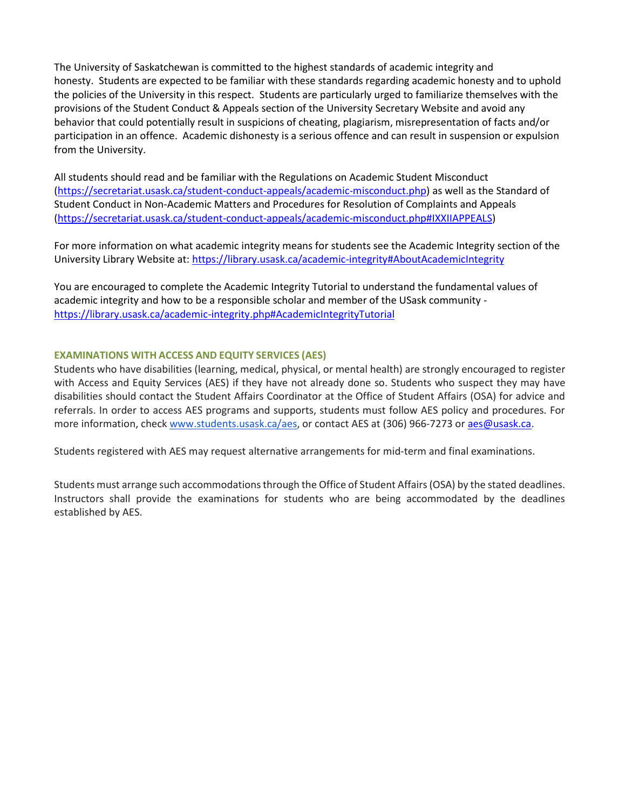The University of Saskatchewan is committed to the highest standards of academic integrity and honesty. Students are expected to be familiar with these standards regarding academic honesty and to uphold the policies of the University in this respect. Students are particularly urged to familiarize themselves with the provisions of the Student Conduct & Appeals section of the University Secretary Website and avoid any behavior that could potentially result in suspicions of cheating, plagiarism, misrepresentation of facts and/or participation in an offence. Academic dishonesty is a serious offence and can result in suspension or expulsion from the University.

All students should read and be familiar with the Regulations on Academic Student Misconduct [\(https://secretariat.usask.ca/student-conduct-appeals/academic-misconduct.php\)](https://secretariat.usask.ca/student-conduct-appeals/academic-misconduct.php) as well as the Standard of Student Conduct in Non-Academic Matters and Procedures for Resolution of Complaints and Appeals [\(https://secretariat.usask.ca/student-conduct-appeals/academic-misconduct.php#IXXIIAPPEALS\)](https://secretariat.usask.ca/student-conduct-appeals/academic-misconduct.php#IXXIIAPPEALS)

For more information on what academic integrity means for students see the Academic Integrity section of the University Library Website at:<https://library.usask.ca/academic-integrity#AboutAcademicIntegrity>

You are encouraged to complete the Academic Integrity Tutorial to understand the fundamental values of academic integrity and how to be a responsible scholar and member of the USask community <https://library.usask.ca/academic-integrity.php#AcademicIntegrityTutorial>

## **EXAMINATIONS WITH ACCESS AND EQUITY SERVICES (AES)**

Students who have disabilities (learning, medical, physical, or mental health) are strongly encouraged to register with Access and Equity Services (AES) if they have not already done so. Students who suspect they may have disabilities should contact the Student Affairs Coordinator at the Office of Student Affairs (OSA) for advice and referrals. In order to access AES programs and supports, students must follow AES policy and procedures. For more information, check [www.students.usask.ca/aes,](http://www.students.usask.ca/aes) or contact AES at (306) 966-7273 o[r aes@usask.ca.](mailto:aes@usask.ca)

Students registered with AES may request alternative arrangements for mid-term and final examinations.

Students must arrange such accommodations through the Office of Student Affairs (OSA) by the stated deadlines. Instructors shall provide the examinations for students who are being accommodated by the deadlines established by AES.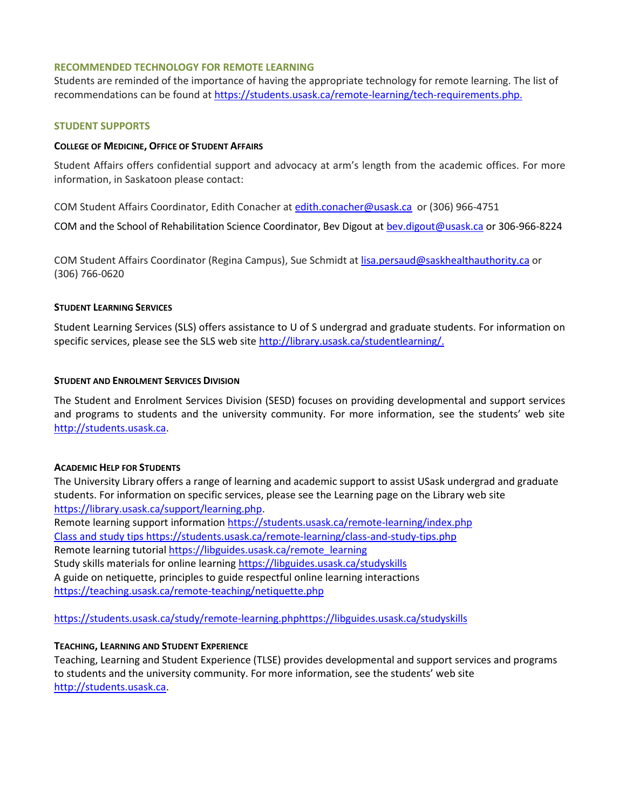#### **RECOMMENDED TECHNOLOGY FOR REMOTE LEARNING**

Students are reminded of the importance of having the appropriate technology for remote learning. The list of recommendations can be found a[t https://students.usask.ca/remote-learning/tech-requirements.php.](https://students.usask.ca/remote-learning/tech-requirements.php)

#### **STUDENT SUPPORTS**

#### **COLLEGE OF MEDICINE, OFFICE OF STUDENT AFFAIRS**

Student Affairs offers confidential support and advocacy at arm's length from the academic offices. For more information, in Saskatoon please contact:

COM Student Affairs Coordinator, Edith Conacher a[t edith.conacher@usask.ca](mailto:edith.conacher@usask.ca) or (306) 966-4751

COM and the School of Rehabilitation Science Coordinator, Bev Digout at [bev.digout@usask.ca](mailto:bev.digout@usask.ca) or 306-966-8224

COM Student Affairs Coordinator (Regina Campus), Sue Schmidt at [lisa.persaud@saskhealthauthority.ca](mailto:lisa.persaud@saskhealthauthority.ca) or (306) 766-0620

## **STUDENT LEARNING SERVICES**

Student Learning Services (SLS) offers assistance to U of S undergrad and graduate students. For information on specific services, please see the SLS web site [http://library.usask.ca/studentlearning/.](http://library.usask.ca/studentlearning/)

## **STUDENT AND ENROLMENT SERVICES DIVISION**

The Student and Enrolment Services Division (SESD) focuses on providing developmental and support services and programs to students and the university community. For more information, see the students' web sit[e](http://students.usask.ca/) [http://students.usask.ca.](http://students.usask.ca/)

#### **ACADEMIC HELP FOR STUDENTS**

The University Library offers a range of learning and academic support to assist USask undergrad and graduate students. For information on specific services, please see the Learning page on the Library web site [https://library.usask.ca/support/learning.php.](https://library.usask.ca/support/learning.php)

Remote learning support informatio[n https://students.usask.ca/remote-learning/index.php](https://students.usask.ca/remote-learning/index.php) Class and study tips<https://students.usask.ca/remote-learning/class-and-study-tips.php> Remote learning tutorial [https://libguides.usask.ca/remote\\_learning](https://libguides.usask.ca/remote_learning) Study skills materials for online learning<https://libguides.usask.ca/studyskills> A guide on netiquette, principles to guide respectful online learning interactions <https://teaching.usask.ca/remote-teaching/netiquette.php>

<https://students.usask.ca/study/remote-learning.php><https://libguides.usask.ca/studyskills>

## **TEACHING, LEARNING AND STUDENT EXPERIENCE**

Teaching, Learning and Student Experience (TLSE) provides developmental and support services and programs to students and the university community. For more information, see the students' web site [http://students.usask.ca.](http://students.usask.ca/)